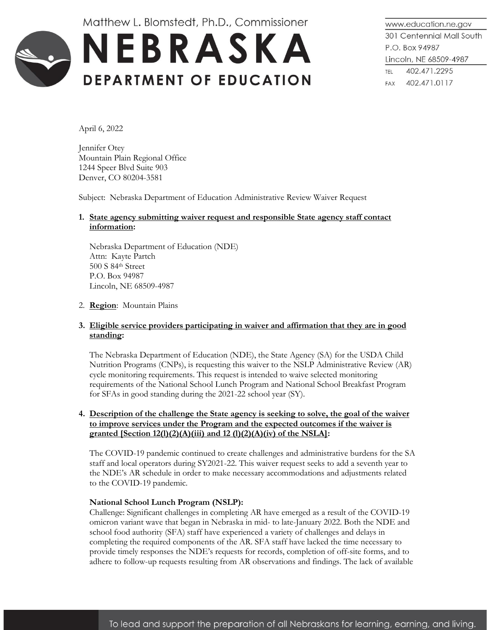Matthew L. Blomstedt, Ph.D., Commissioner



www.education.ne.gov 301 Centennial Mall South P.O. Box 94987 Lincoln, NE 68509-4987 TEL 402.471.2295 FAX 402.471.0117

April 6, 2022

Jennifer Otey Mountain Plain Regional Office 1244 Speer Blvd Suite 903 Denver, CO 80204-3581

Subject: Nebraska Department of Education Administrative Review Waiver Request

# **1. State agency submitting waiver request and responsible State agency staff contact information:**

Nebraska Department of Education (NDE) Attn: Kayte Partch 500 S 84th Street P.O. Box 94987 Lincoln, NE 68509-4987

#### 2. **Region**: Mountain Plains

#### **3. Eligible service providers participating in waiver and affirmation that they are in good standing:**

The Nebraska Department of Education (NDE), the State Agency (SA) for the USDA Child Nutrition Programs (CNPs), is requesting this waiver to the NSLP Administrative Review (AR) cycle monitoring requirements. This request is intended to waive selected monitoring requirements of the National School Lunch Program and National School Breakfast Program for SFAs in good standing during the 2021-22 school year (SY).

## **4. Description of the challenge the State agency is seeking to solve, the goal of the waiver to improve services under the Program and the expected outcomes if the waiver is granted [Section 12(l)(2)(A)(iii) and 12 (l)(2)(A)(iv) of the NSLA]:**

The COVID-19 pandemic continued to create challenges and administrative burdens for the SA staff and local operators during SY2021-22. This waiver request seeks to add a seventh year to the NDE's AR schedule in order to make necessary accommodations and adjustments related to the COVID-19 pandemic.

#### **National School Lunch Program (NSLP):**

Challenge: Significant challenges in completing AR have emerged as a result of the COVID-19 omicron variant wave that began in Nebraska in mid- to late-January 2022. Both the NDE and school food authority (SFA) staff have experienced a variety of challenges and delays in completing the required components of the AR. SFA staff have lacked the time necessary to provide timely responses the NDE's requests for records, completion of off-site forms, and to adhere to follow-up requests resulting from AR observations and findings. The lack of available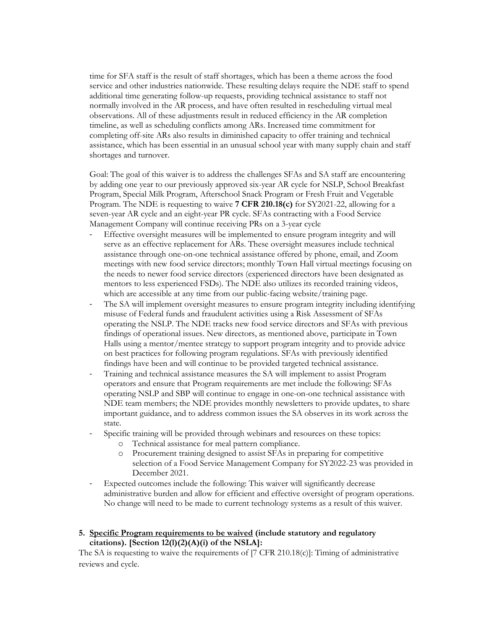time for SFA staff is the result of staff shortages, which has been a theme across the food service and other industries nationwide. These resulting delays require the NDE staff to spend additional time generating follow-up requests, providing technical assistance to staff not normally involved in the AR process, and have often resulted in rescheduling virtual meal observations. All of these adjustments result in reduced efficiency in the AR completion timeline, as well as scheduling conflicts among ARs. Increased time commitment for completing off-site ARs also results in diminished capacity to offer training and technical assistance, which has been essential in an unusual school year with many supply chain and staff shortages and turnover.

Goal: The goal of this waiver is to address the challenges SFAs and SA staff are encountering by adding one year to our previously approved six-year AR cycle for NSLP, School Breakfast Program, Special Milk Program, Afterschool Snack Program or Fresh Fruit and Vegetable Program. The NDE is requesting to waive **7 CFR 210.18(c)** for SY2021-22, allowing for a seven-year AR cycle and an eight-year PR cycle. SFAs contracting with a Food Service Management Company will continue receiving PRs on a 3-year cycle

- Effective oversight measures will be implemented to ensure program integrity and will serve as an effective replacement for ARs. These oversight measures include technical assistance through one-on-one technical assistance offered by phone, email, and Zoom meetings with new food service directors; monthly Town Hall virtual meetings focusing on the needs to newer food service directors (experienced directors have been designated as mentors to less experienced FSDs). The NDE also utilizes its recorded training videos, which are accessible at any time from our public-facing website/training page.
- The SA will implement oversight measures to ensure program integrity including identifying misuse of Federal funds and fraudulent activities using a Risk Assessment of SFAs operating the NSLP. The NDE tracks new food service directors and SFAs with previous findings of operational issues. New directors, as mentioned above, participate in Town Halls using a mentor/mentee strategy to support program integrity and to provide advice on best practices for following program regulations. SFAs with previously identified findings have been and will continue to be provided targeted technical assistance.
- Training and technical assistance measures the SA will implement to assist Program operators and ensure that Program requirements are met include the following: SFAs operating NSLP and SBP will continue to engage in one-on-one technical assistance with NDE team members; the NDE provides monthly newsletters to provide updates, to share important guidance, and to address common issues the SA observes in its work across the state.
- Specific training will be provided through webinars and resources on these topics:
	- o Technical assistance for meal pattern compliance.
	- o Procurement training designed to assist SFAs in preparing for competitive selection of a Food Service Management Company for SY2022-23 was provided in December 2021.
- Expected outcomes include the following: This waiver will significantly decrease administrative burden and allow for efficient and effective oversight of program operations. No change will need to be made to current technology systems as a result of this waiver.

## **5. Specific Program requirements to be waived (include statutory and regulatory citations). [Section 12(l)(2)(A)(i) of the NSLA]:**

The SA is requesting to waive the requirements of [7 CFR 210.18(c)]: Timing of administrative reviews and cycle.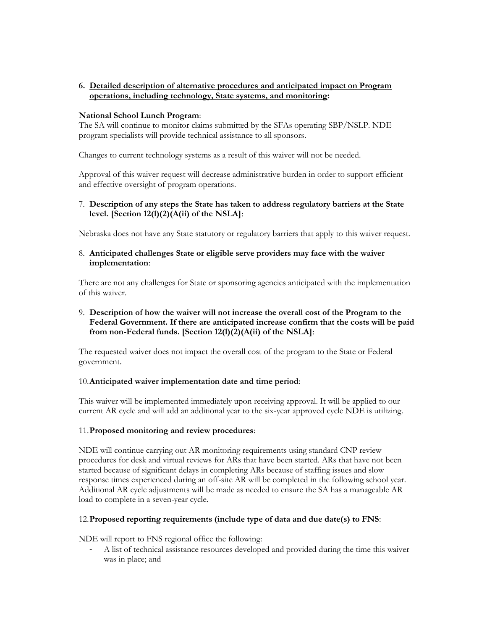## **6. Detailed description of alternative procedures and anticipated impact on Program operations, including technology, State systems, and monitoring:**

#### **National School Lunch Program**:

The SA will continue to monitor claims submitted by the SFAs operating SBP/NSLP. NDE program specialists will provide technical assistance to all sponsors.

Changes to current technology systems as a result of this waiver will not be needed.

Approval of this waiver request will decrease administrative burden in order to support efficient and effective oversight of program operations.

## 7. **Description of any steps the State has taken to address regulatory barriers at the State level. [Section 12(l)(2)(A(ii) of the NSLA]**:

Nebraska does not have any State statutory or regulatory barriers that apply to this waiver request.

## 8. **Anticipated challenges State or eligible serve providers may face with the waiver implementation**:

There are not any challenges for State or sponsoring agencies anticipated with the implementation of this waiver.

## 9. **Description of how the waiver will not increase the overall cost of the Program to the Federal Government. If there are anticipated increase confirm that the costs will be paid from non-Federal funds. [Section 12(l)(2)(A(ii) of the NSLA]**:

The requested waiver does not impact the overall cost of the program to the State or Federal government.

## 10.**Anticipated waiver implementation date and time period**:

This waiver will be implemented immediately upon receiving approval. It will be applied to our current AR cycle and will add an additional year to the six-year approved cycle NDE is utilizing.

## 11.**Proposed monitoring and review procedures**:

NDE will continue carrying out AR monitoring requirements using standard CNP review procedures for desk and virtual reviews for ARs that have been started. ARs that have not been started because of significant delays in completing ARs because of staffing issues and slow response times experienced during an off-site AR will be completed in the following school year. Additional AR cycle adjustments will be made as needed to ensure the SA has a manageable AR load to complete in a seven-year cycle.

## 12.**Proposed reporting requirements (include type of data and due date(s) to FNS**:

NDE will report to FNS regional office the following:

- A list of technical assistance resources developed and provided during the time this waiver was in place; and